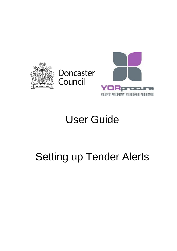



## User Guide

## Setting up Tender Alerts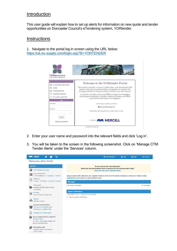## **Introduction**

This user guide will explain how to set up alerts for information on new quote and tender opportunities on Doncaster Council's eTendering system, YORtender.

## **Instructions**

1. Navigate to the portal log in screen using the URL below: <https://uk.eu-supply.com/login.asp?B=YORTENDER>



- 2. Enter your user name and password into the relevant fields and click 'Log in'.
- 3. You will be taken to the screen in the following screenshot. Click on 'Manage CTM Tender Alerts' under the 'Services' column.

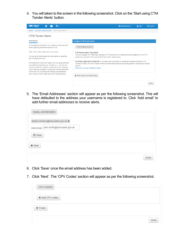4. You will taken to the screen in the following screenshot. Click on the 'Start using CTM Tender Alerts' button.

| <b>APRITEST</b><br>۹.,                                                                                                                                                                                                                                                                                                                                                                                                                                                                                                                                                                                                                    | <b>☆</b> Administration ▼<br>$\triangle$ John                                                                                                                                                                                                                                                                                                                                                                                                                                                                                                                      | <b>U</b> Log out |
|-------------------------------------------------------------------------------------------------------------------------------------------------------------------------------------------------------------------------------------------------------------------------------------------------------------------------------------------------------------------------------------------------------------------------------------------------------------------------------------------------------------------------------------------------------------------------------------------------------------------------------------------|--------------------------------------------------------------------------------------------------------------------------------------------------------------------------------------------------------------------------------------------------------------------------------------------------------------------------------------------------------------------------------------------------------------------------------------------------------------------------------------------------------------------------------------------------------------------|------------------|
| Company administration / CTM Tender Alerts<br>Home                                                                                                                                                                                                                                                                                                                                                                                                                                                                                                                                                                                        |                                                                                                                                                                                                                                                                                                                                                                                                                                                                                                                                                                    |                  |
| <b>CTM Tender Alerts</b>                                                                                                                                                                                                                                                                                                                                                                                                                                                                                                                                                                                                                  |                                                                                                                                                                                                                                                                                                                                                                                                                                                                                                                                                                    |                  |
| <b>Instructions</b>                                                                                                                                                                                                                                                                                                                                                                                                                                                                                                                                                                                                                       | <b>Configure CTM Tender Alerts</b>                                                                                                                                                                                                                                                                                                                                                                                                                                                                                                                                 |                  |
| In this page you administer your profile for receiving email<br>alerts regarding published notices in CTM.<br>Click 'Add' to add a value and 'x' to remove.<br>You can at any time disable the email alerts by selecting<br>the Off button at the top.<br>An email alert is sent every night if any new quotes/tenders<br>are published matching your categories, i.e. you will only<br>receive an alert for a specific quote/tender once. However,<br>if you make any changes in your profile, the next alert that<br>will be sent out will include all matching quotes/tenders<br>even if some of them might have been included before. | <b>CTM TENDER ALERTS</b><br><b>CTM Tender Alerts: Free Option</b><br>You can configure the FREE basic standard CTM Tender Alerts of matching tenders published on the CTM<br>platform by using the "Start using CTM Tender Alerts" button below:<br>OPTIONAL BIZALERTS SERVICE: If you also want to get alerts to all relevant published tenders on UK<br>Contracts Finder, UK Find a Tender Service and the National Ireland eSourcing platform, subscribe to BizAlert<br>Service<br>Start your free trial of BizAlerts today!<br>↓ Start using CTM Tender Alerts |                  |
|                                                                                                                                                                                                                                                                                                                                                                                                                                                                                                                                                                                                                                           |                                                                                                                                                                                                                                                                                                                                                                                                                                                                                                                                                                    | Done             |

5. The 'Email Addresses' section will appear as per the following screenshot. This will have defaulted to the address your username is registered to. Click 'Add email' to add further email addresses to receive alerts.

| <b>EMAIL ADDRESSES</b>                  |  |      |
|-----------------------------------------|--|------|
| daniel.winslow@doncaster.gov.uk x       |  |      |
| Add email   john.smith@doncaster.gov.uk |  |      |
| <b>A</b> Save                           |  |      |
| $\blacktriangleright$ Next              |  |      |
|                                         |  | Done |

- 6. Click 'Save' once the email address has been added.
- 7. Click 'Next'. The 'CPV Codes' section will appear as per the following screenshot.

| CPV CODES               |  |      |
|-------------------------|--|------|
| + Add CPV codes         |  |      |
| $\triangleright$ Finish |  |      |
|                         |  | Done |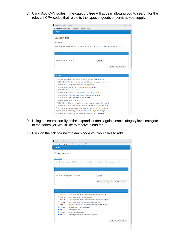8. Click 'Add CPV codes'. The category tree will appear allowing you to search for the relevant CPV codes that relate to the types of goods or services you supply.

| <b>BUS</b> Category tree - Google Chrome                                                                                                          |                         | п | × |
|---------------------------------------------------------------------------------------------------------------------------------------------------|-------------------------|---|---|
| ukstage.eu-supply.com/CTM/Category/Index/5/0/5/true                                                                                               |                         |   |   |
| <b>TEST</b>                                                                                                                                       |                         |   |   |
|                                                                                                                                                   |                         |   |   |
| Category tree                                                                                                                                     |                         |   |   |
| <b>Instructions</b>                                                                                                                               |                         |   |   |
| Search for a category using the free text search, by using keywords or drilling down in the category tree view.                                   |                         |   |   |
|                                                                                                                                                   |                         |   |   |
|                                                                                                                                                   |                         |   |   |
|                                                                                                                                                   |                         |   |   |
|                                                                                                                                                   |                         |   |   |
| Search by category name:<br>Search                                                                                                                |                         |   |   |
|                                                                                                                                                   |                         |   |   |
|                                                                                                                                                   | Add selected categories |   |   |
|                                                                                                                                                   |                         |   |   |
| <b>CPV</b> tree                                                                                                                                   |                         |   |   |
|                                                                                                                                                   |                         |   |   |
| <sup>ED</sup> 03000000-1 - Agricultural, farming, fishing, forestry and related products                                                          |                         |   |   |
| 中□ 09000000-3 - Petroleum products, fuel, electricity and other sources of energ<br>$\Box$ 14000000-1 - Mining, basic metals and related products |                         |   |   |
| $\overline{+}\cap$ 15000000-8 - Food, beverages, tobacco and related products                                                                     |                         |   |   |
| $\Box$ 16000000-5 - Agricultural machinery                                                                                                        |                         |   |   |
| <sup>ED</sup> 18000000-9 - Clothing, footwear, luggage articles and accessories                                                                   |                         |   |   |
| $\Box$ 19000000-6 - Leather and textile fabrics, plastic and rubber materials                                                                     |                         |   |   |
| $\Box$ 22000000-0 - Printed matter and related products                                                                                           |                         |   |   |
| $\overline{+}\square$ 24000000-4 - Chemical products                                                                                              |                         |   |   |
| $\mathbb{P}\Box$ 30000000-9 - Office and computing machinery, equipment and supplies except fu                                                    |                         |   |   |
| $\mathbb{P}\Box$ 31000000-6 - Electrical machinery, apparatus, equipment and consumables; ligh                                                    |                         |   |   |
| $\mathbb{P}\cap$ 32000000-3 - Radio, television, communication, telecommunication and related                                                     |                         |   |   |
| $\mathbb{P}\Box$ 33000000-0 - Medical equipments, pharmaceuticals and personal care products                                                      |                         |   |   |
| $\overline{P}$ 34000000-7 - Transport equipment and auxiliary products to transportation                                                          |                         |   |   |
|                                                                                                                                                   |                         |   |   |

- 9. Using the search facility or the 'expand' buttons against each category level navigate to the codes you would like to receive alerts for.
- 10.Click on the tick box next to each code you would like to add.

| <b>203</b> Category tree - Google Chrome                                                                                             |                         |                   | $\Box$ | $\times$ |
|--------------------------------------------------------------------------------------------------------------------------------------|-------------------------|-------------------|--------|----------|
| ukstage.eu-supply.com/CTM/Category/Index/5/0/5/true<br>⋒                                                                             |                         |                   |        |          |
| <b>TEST</b>                                                                                                                          |                         |                   |        |          |
|                                                                                                                                      |                         |                   |        |          |
| Category tree                                                                                                                        |                         |                   |        |          |
|                                                                                                                                      |                         |                   |        |          |
| <b>Instructions</b>                                                                                                                  |                         |                   |        |          |
| Search for a category using the free text search, by using keywords or drilling down in the category tree view.                      |                         |                   |        |          |
|                                                                                                                                      |                         |                   |        |          |
|                                                                                                                                      |                         |                   |        |          |
|                                                                                                                                      |                         |                   |        |          |
|                                                                                                                                      |                         |                   |        |          |
| marketing<br>Search by category name:<br>Search                                                                                      |                         |                   |        |          |
|                                                                                                                                      |                         |                   |        |          |
| Add selected categories                                                                                                              |                         | Back to tree view |        |          |
|                                                                                                                                      |                         |                   |        |          |
|                                                                                                                                      |                         |                   |        |          |
| <b>CPV</b> tree                                                                                                                      |                         |                   |        |          |
|                                                                                                                                      |                         |                   |        |          |
| 48480000-6 - Sales, marketing and business intelligence software package                                                             |                         |                   |        |          |
| □ 48481000-3 - Sales or marketing software package<br>□ 72212480-7 - Sales, marketing and business intelligence software development |                         |                   |        |          |
| 72212481-4 - Sales or marketing software development services                                                                        |                         |                   |        |          |
| □ 79000000-4 - Business services: law, marketing, consulting, recruitment, prin                                                      |                         |                   |        |          |
| √ 79340000-9 - Advertising and marketing services                                                                                    |                         |                   |        |          |
| 79342000-3 - Marketing services                                                                                                      |                         |                   |        |          |
| $\sqrt{ }$ 79342100-4 - Direct marketing services                                                                                    |                         |                   |        |          |
| √ 79413000-2 - Marketing management consultancy services                                                                             |                         |                   |        |          |
|                                                                                                                                      |                         |                   |        |          |
|                                                                                                                                      | Add selected categories |                   |        |          |
|                                                                                                                                      |                         |                   |        |          |
|                                                                                                                                      |                         |                   |        |          |
|                                                                                                                                      |                         |                   |        |          |
|                                                                                                                                      |                         |                   |        |          |